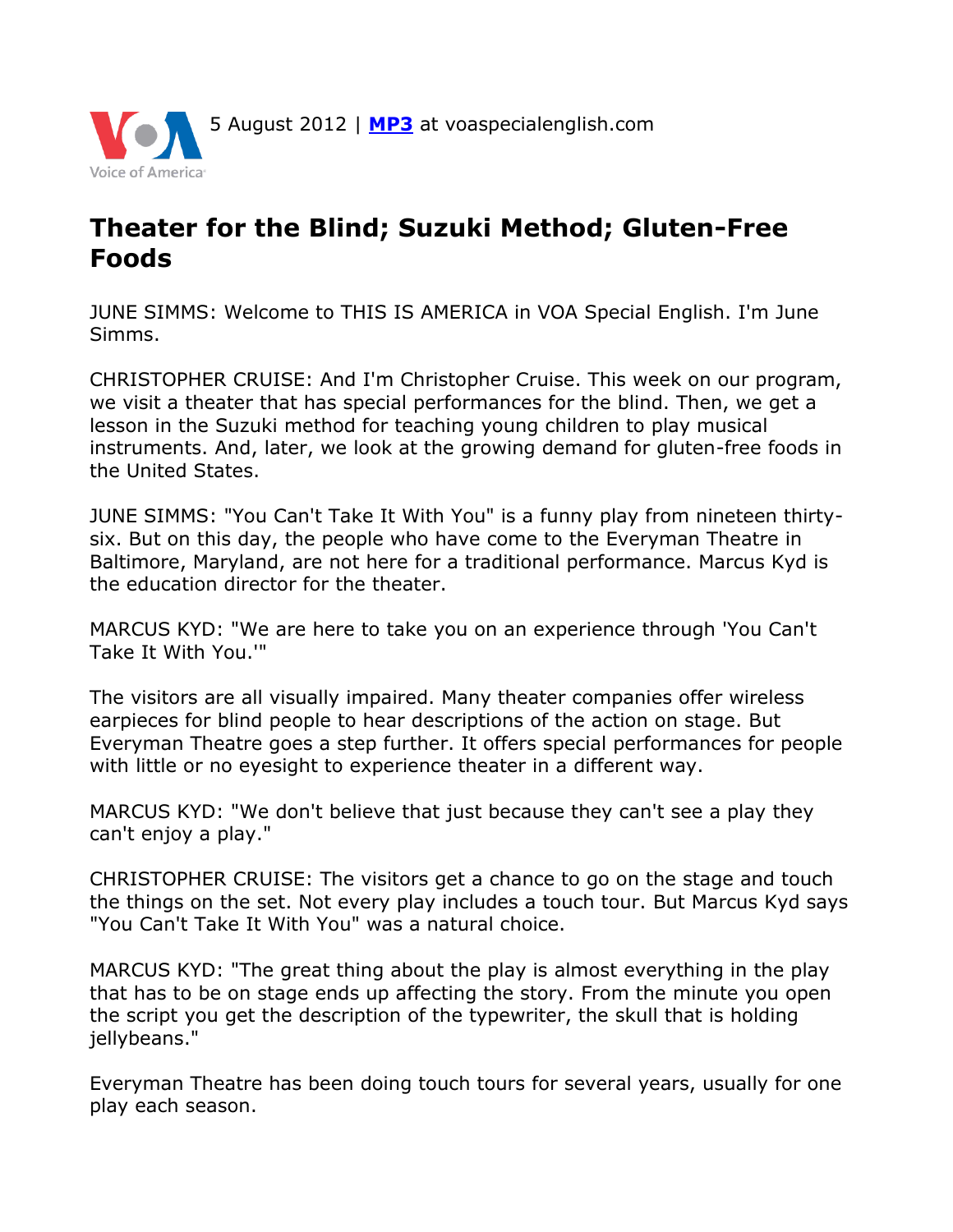

## **Theater for the Blind; Suzuki Method; Gluten-Free Foods**

JUNE SIMMS: Welcome to THIS IS AMERICA in VOA Special English. I'm June Simms.

CHRISTOPHER CRUISE: And I'm Christopher Cruise. This week on our program, we visit a theater that has special performances for the blind. Then, we get a lesson in the Suzuki method for teaching young children to play musical instruments. And, later, we look at the growing demand for gluten-free foods in the United States.

JUNE SIMMS: "You Can't Take It With You" is a funny play from nineteen thirtysix. But on this day, the people who have come to the Everyman Theatre in Baltimore, Maryland, are not here for a traditional performance. Marcus Kyd is the education director for the theater.

MARCUS KYD: "We are here to take you on an experience through 'You Can't Take It With You.'"

The visitors are all visually impaired. Many theater companies offer wireless earpieces for blind people to hear descriptions of the action on stage. But Everyman Theatre goes a step further. It offers special performances for people with little or no eyesight to experience theater in a different way.

MARCUS KYD: "We don't believe that just because they can't see a play they can't enjoy a play."

CHRISTOPHER CRUISE: The visitors get a chance to go on the stage and touch the things on the set. Not every play includes a touch tour. But Marcus Kyd says "You Can't Take It With You" was a natural choice.

MARCUS KYD: "The great thing about the play is almost everything in the play that has to be on stage ends up affecting the story. From the minute you open the script you get the description of the typewriter, the skull that is holding jellybeans."

Everyman Theatre has been doing touch tours for several years, usually for one play each season.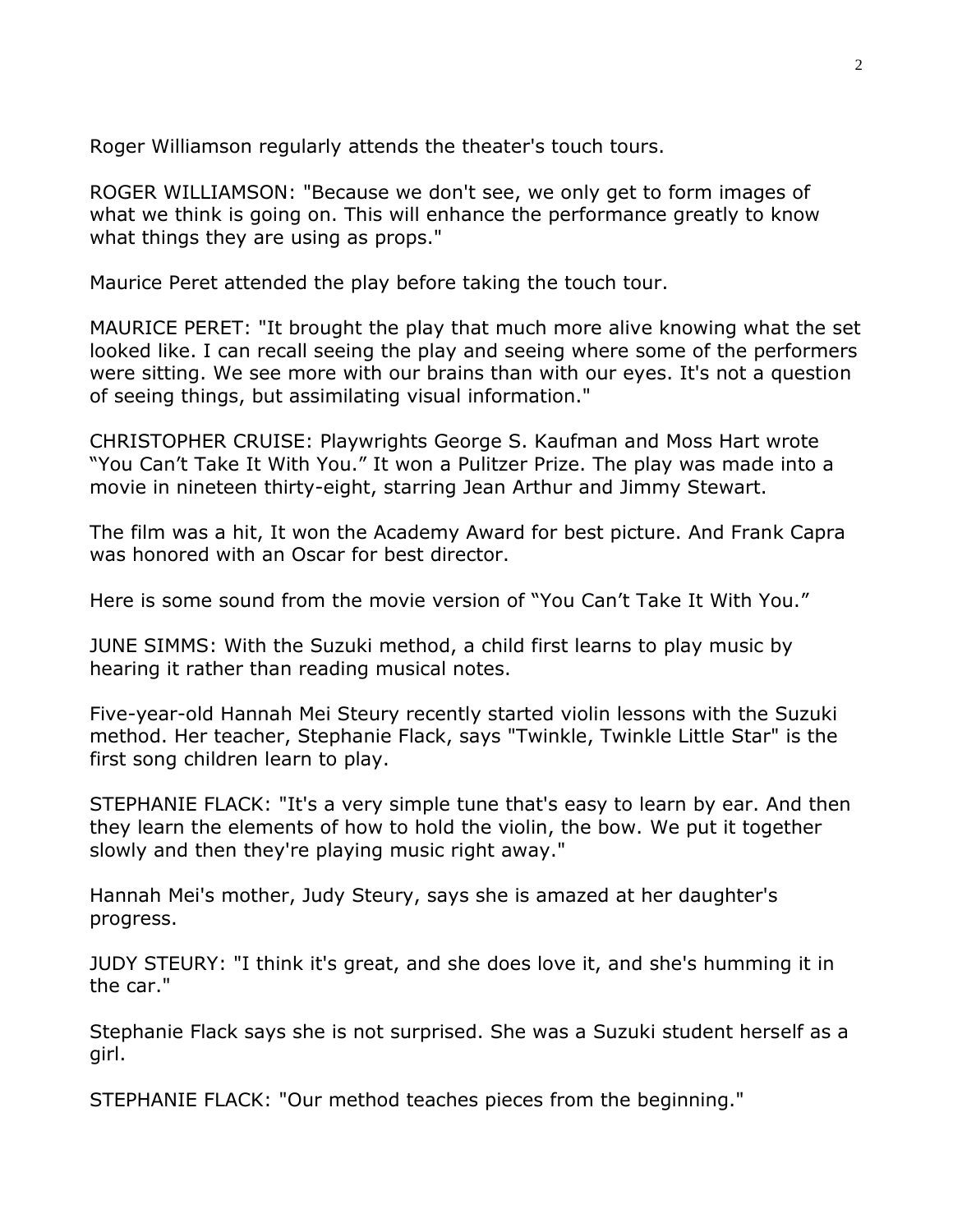Roger Williamson regularly attends the theater's touch tours.

ROGER WILLIAMSON: "Because we don't see, we only get to form images of what we think is going on. This will enhance the performance greatly to know what things they are using as props."

Maurice Peret attended the play before taking the touch tour.

MAURICE PERET: "It brought the play that much more alive knowing what the set looked like. I can recall seeing the play and seeing where some of the performers were sitting. We see more with our brains than with our eyes. It's not a question of seeing things, but assimilating visual information."

CHRISTOPHER CRUISE: Playwrights George S. Kaufman and Moss Hart wrote "You Can't Take It With You." It won a Pulitzer Prize. The play was made into a movie in nineteen thirty-eight, starring Jean Arthur and Jimmy Stewart.

The film was a hit, It won the Academy Award for best picture. And Frank Capra was honored with an Oscar for best director.

Here is some sound from the movie version of "You Can't Take It With You."

JUNE SIMMS: With the Suzuki method, a child first learns to play music by hearing it rather than reading musical notes.

Five-year-old Hannah Mei Steury recently started violin lessons with the Suzuki method. Her teacher, Stephanie Flack, says "Twinkle, Twinkle Little Star" is the first song children learn to play.

STEPHANIE FLACK: "It's a very simple tune that's easy to learn by ear. And then they learn the elements of how to hold the violin, the bow. We put it together slowly and then they're playing music right away."

Hannah Mei's mother, Judy Steury, says she is amazed at her daughter's progress.

JUDY STEURY: "I think it's great, and she does love it, and she's humming it in the car."

Stephanie Flack says she is not surprised. She was a Suzuki student herself as a girl.

STEPHANIE FLACK: "Our method teaches pieces from the beginning."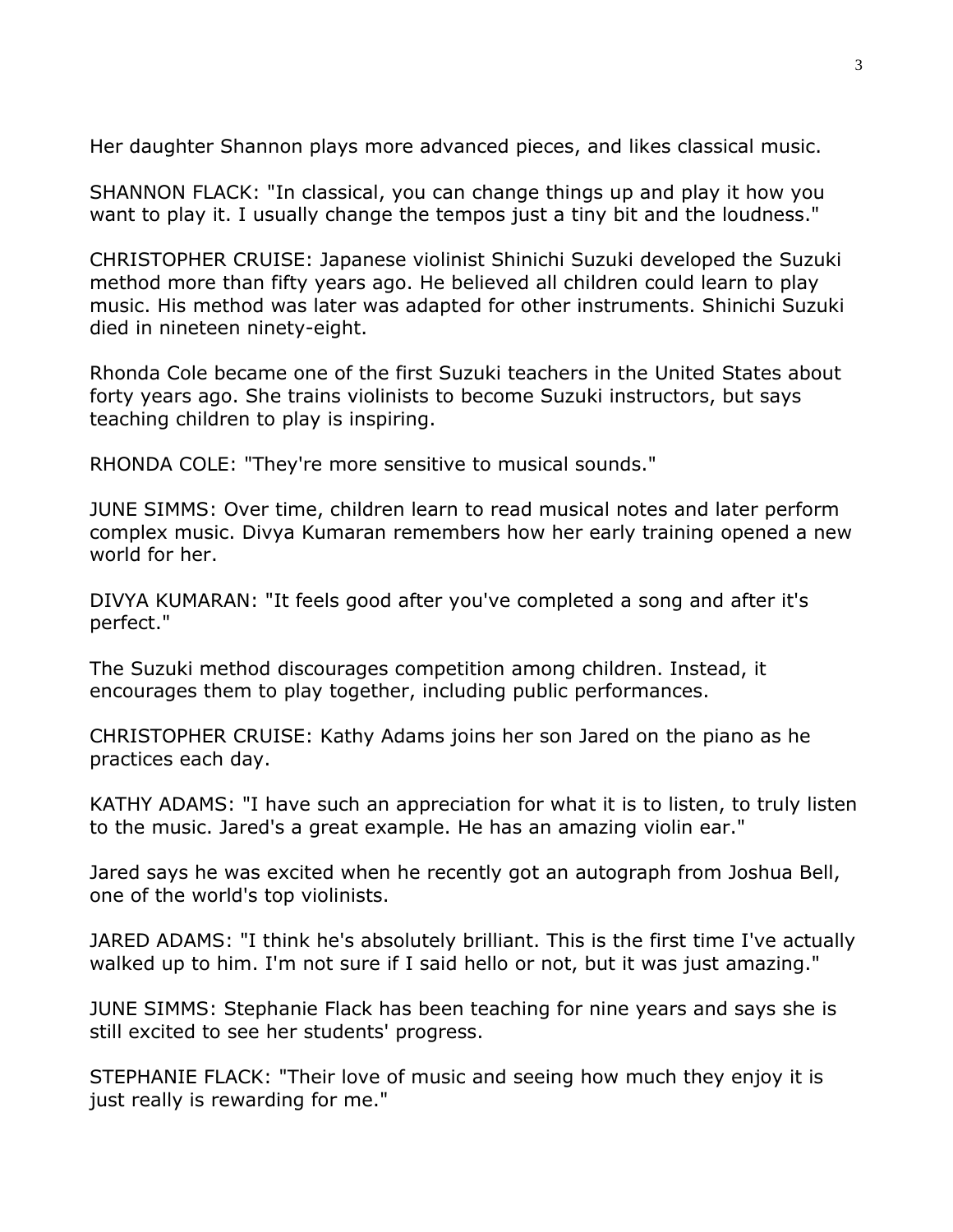Her daughter Shannon plays more advanced pieces, and likes classical music.

SHANNON FLACK: "In classical, you can change things up and play it how you want to play it. I usually change the tempos just a tiny bit and the loudness."

CHRISTOPHER CRUISE: Japanese violinist Shinichi Suzuki developed the Suzuki method more than fifty years ago. He believed all children could learn to play music. His method was later was adapted for other instruments. Shinichi Suzuki died in nineteen ninety-eight.

Rhonda Cole became one of the first Suzuki teachers in the United States about forty years ago. She trains violinists to become Suzuki instructors, but says teaching children to play is inspiring.

RHONDA COLE: "They're more sensitive to musical sounds."

JUNE SIMMS: Over time, children learn to read musical notes and later perform complex music. Divya Kumaran remembers how her early training opened a new world for her.

DIVYA KUMARAN: "It feels good after you've completed a song and after it's perfect."

The Suzuki method discourages competition among children. Instead, it encourages them to play together, including public performances.

CHRISTOPHER CRUISE: Kathy Adams joins her son Jared on the piano as he practices each day.

KATHY ADAMS: "I have such an appreciation for what it is to listen, to truly listen to the music. Jared's a great example. He has an amazing violin ear."

Jared says he was excited when he recently got an autograph from Joshua Bell, one of the world's top violinists.

JARED ADAMS: "I think he's absolutely brilliant. This is the first time I've actually walked up to him. I'm not sure if I said hello or not, but it was just amazing."

JUNE SIMMS: Stephanie Flack has been teaching for nine years and says she is still excited to see her students' progress.

STEPHANIE FLACK: "Their love of music and seeing how much they enjoy it is just really is rewarding for me."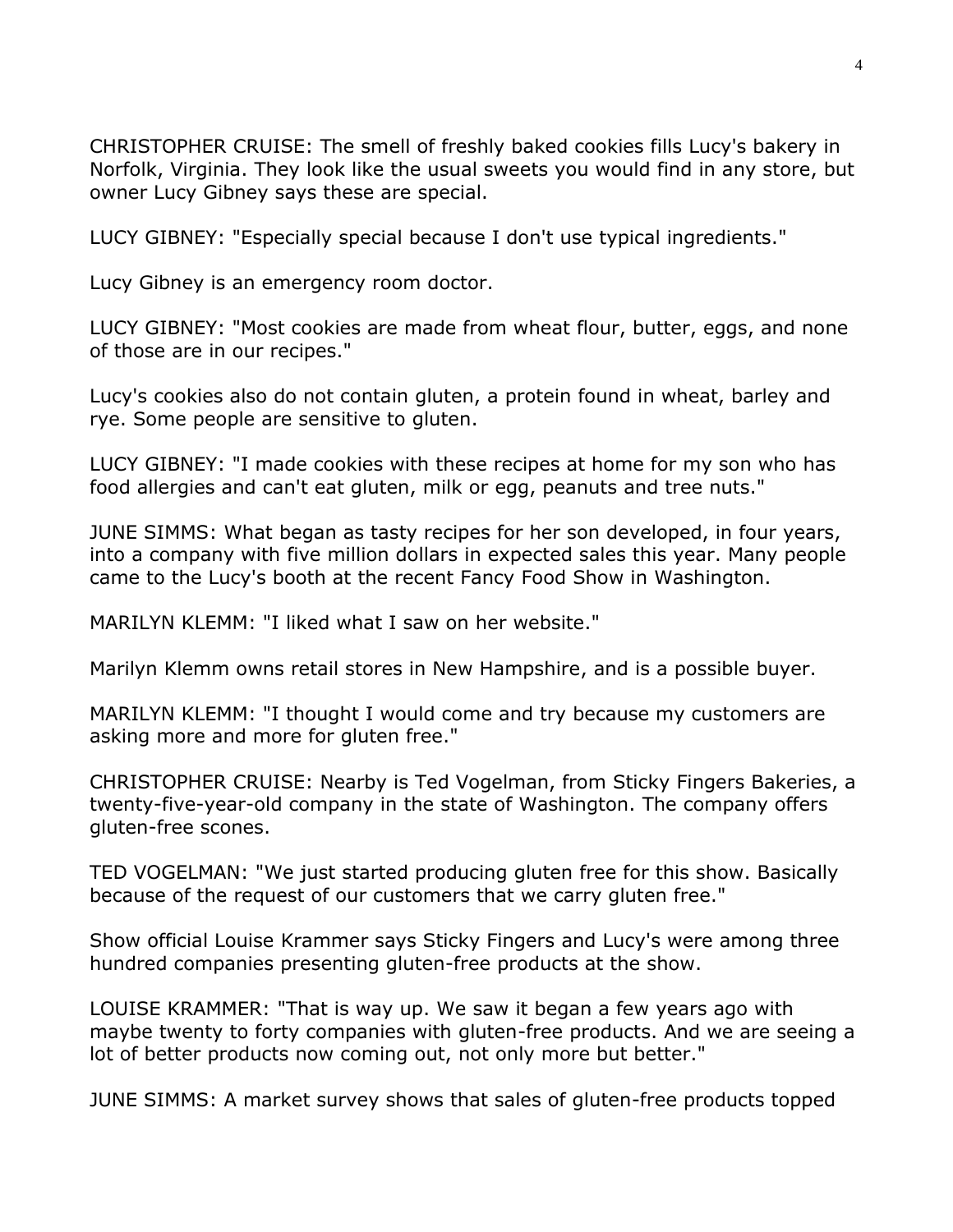CHRISTOPHER CRUISE: The smell of freshly baked cookies fills Lucy's bakery in Norfolk, Virginia. They look like the usual sweets you would find in any store, but owner Lucy Gibney says these are special.

LUCY GIBNEY: "Especially special because I don't use typical ingredients."

Lucy Gibney is an emergency room doctor.

LUCY GIBNEY: "Most cookies are made from wheat flour, butter, eggs, and none of those are in our recipes."

Lucy's cookies also do not contain gluten, a protein found in wheat, barley and rye. Some people are sensitive to gluten.

LUCY GIBNEY: "I made cookies with these recipes at home for my son who has food allergies and can't eat gluten, milk or egg, peanuts and tree nuts."

JUNE SIMMS: What began as tasty recipes for her son developed, in four years, into a company with five million dollars in expected sales this year. Many people came to the Lucy's booth at the recent Fancy Food Show in Washington.

MARILYN KLEMM: "I liked what I saw on her website."

Marilyn Klemm owns retail stores in New Hampshire, and is a possible buyer.

MARILYN KLEMM: "I thought I would come and try because my customers are asking more and more for gluten free."

CHRISTOPHER CRUISE: Nearby is Ted Vogelman, from Sticky Fingers Bakeries, a twenty-five-year-old company in the state of Washington. The company offers gluten-free scones.

TED VOGELMAN: "We just started producing gluten free for this show. Basically because of the request of our customers that we carry gluten free."

Show official Louise Krammer says Sticky Fingers and Lucy's were among three hundred companies presenting gluten-free products at the show.

LOUISE KRAMMER: "That is way up. We saw it began a few years ago with maybe twenty to forty companies with gluten-free products. And we are seeing a lot of better products now coming out, not only more but better."

JUNE SIMMS: A market survey shows that sales of gluten-free products topped